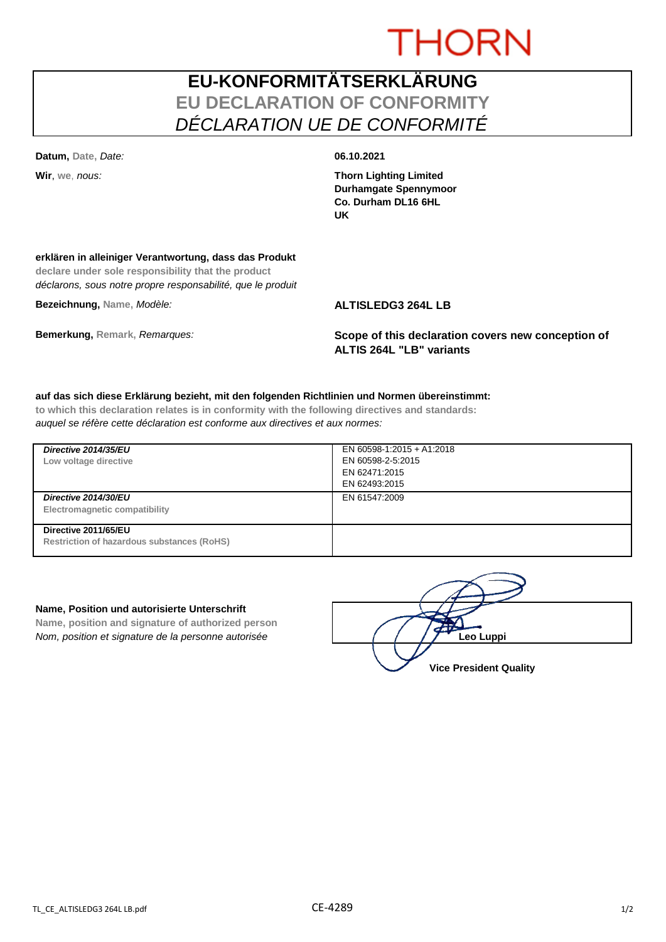# **THORN**

# **EU-KONFORMITÄTSERKLÄRUNG EU DECLARATION OF CONFORMITY** *DÉCLARATION UE DE CONFORMITÉ*

**Datum, Date,** *Date:* **06.10.2021**

**Wir**, **we**, *nous:* **Thorn Lighting Limited Durhamgate Spennymoor Co. Durham DL16 6HL UK**

## **erklären in alleiniger Verantwortung, dass das Produkt**

**declare under sole responsibility that the product** *déclarons, sous notre propre responsabilité, que le produit*

**Bezeichnung, Name,** *Modèle:* **ALTISLEDG3 264L LB**

**Bemerkung, Remark,** *Remarques:* **Scope of this declaration covers new conception of ALTIS 264L "LB" variants**

#### **auf das sich diese Erklärung bezieht, mit den folgenden Richtlinien und Normen übereinstimmt:**

**to which this declaration relates is in conformity with the following directives and standards:** *auquel se réfère cette déclaration est conforme aux directives et aux normes:*

| Directive 2014/35/EU<br>Low voltage directive                             | EN 60598-1:2015 + A1:2018<br>EN 60598-2-5:2015<br>EN 62471:2015<br>EN 62493:2015 |
|---------------------------------------------------------------------------|----------------------------------------------------------------------------------|
| Directive 2014/30/EU<br>Electromagnetic compatibility                     | EN 61547:2009                                                                    |
| Directive 2011/65/EU<br><b>Restriction of hazardous substances (RoHS)</b> |                                                                                  |

### **Name, Position und autorisierte Unterschrift**

**Name, position and signature of authorized person** *Nom, position et signature de la personne autorisée*  $\left( \begin{array}{cc} \end{array} \right)$   $\left( \begin{array}{cc} \end{array} \right)$  **Leo Luppi** 

**Vice President Quality**